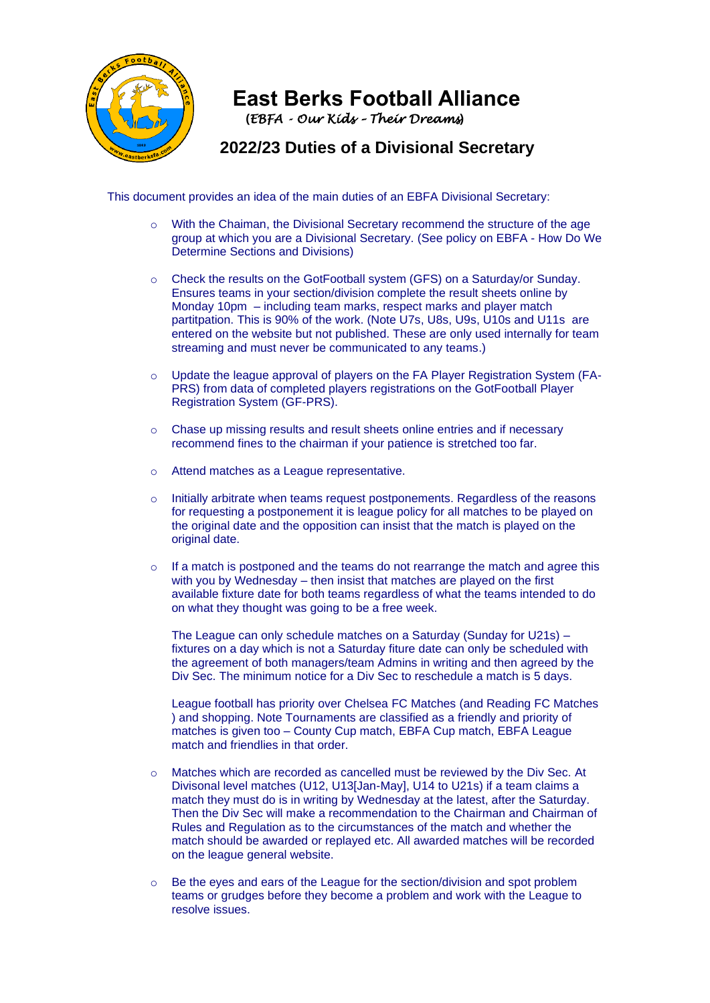

## **East Berks Football Alliance**

**(***EBFA - Our Kids – Their Dreams***)** 

 **2022/23 Duties of a Divisional Secretary**

This document provides an idea of the main duties of an EBFA Divisional Secretary:

- $\circ$  With the Chaiman, the Divisional Secretary recommend the structure of the age group at which you are a Divisional Secretary. (See policy on EBFA - How Do We Determine Sections and Divisions)
- o Check the results on the GotFootball system (GFS) on a Saturday/or Sunday. Ensures teams in your section/division complete the result sheets online by Monday 10pm – including team marks, respect marks and player match partitpation. This is 90% of the work. (Note U7s, U8s, U9s, U10s and U11s are entered on the website but not published. These are only used internally for team streaming and must never be communicated to any teams.)
- o Update the league approval of players on the FA Player Registration System (FA-PRS) from data of completed players registrations on the GotFootball Player Registration System (GF-PRS).
- o Chase up missing results and result sheets online entries and if necessary recommend fines to the chairman if your patience is stretched too far.
- o Attend matches as a League representative.
- $\circ$  Initially arbitrate when teams request postponements. Regardless of the reasons for requesting a postponement it is league policy for all matches to be played on the original date and the opposition can insist that the match is played on the original date.
- o If a match is postponed and the teams do not rearrange the match and agree this with you by Wednesday – then insist that matches are played on the first available fixture date for both teams regardless of what the teams intended to do on what they thought was going to be a free week.

The League can only schedule matches on a Saturday (Sunday for U21s) – fixtures on a day which is not a Saturday fiture date can only be scheduled with the agreement of both managers/team Admins in writing and then agreed by the Div Sec. The minimum notice for a Div Sec to reschedule a match is 5 days.

League football has priority over Chelsea FC Matches (and Reading FC Matches ) and shopping. Note Tournaments are classified as a friendly and priority of matches is given too – County Cup match, EBFA Cup match, EBFA League match and friendlies in that order.

- Matches which are recorded as cancelled must be reviewed by the Div Sec. At Divisonal level matches (U12, U13[Jan-May], U14 to U21s) if a team claims a match they must do is in writing by Wednesday at the latest, after the Saturday. Then the Div Sec will make a recommendation to the Chairman and Chairman of Rules and Regulation as to the circumstances of the match and whether the match should be awarded or replayed etc. All awarded matches will be recorded on the league general website.
- Be the eyes and ears of the League for the section/division and spot problem teams or grudges before they become a problem and work with the League to resolve issues.